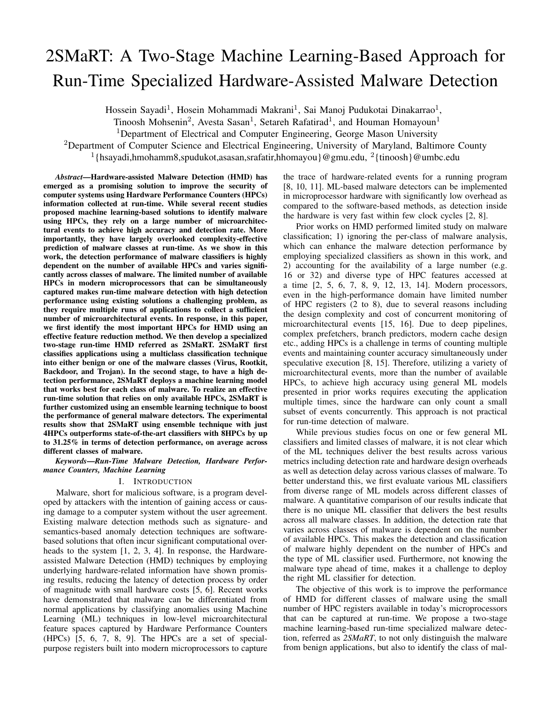# 2SMaRT: A Two-Stage Machine Learning-Based Approach for Run-Time Specialized Hardware-Assisted Malware Detection

Hossein Sayadi<sup>1</sup>, Hosein Mohammadi Makrani<sup>1</sup>, Sai Manoj Pudukotai Dinakarrao<sup>1</sup>,

Tinoosh Mohsenin<sup>2</sup>, Avesta Sasan<sup>1</sup>, Setareh Rafatirad<sup>1</sup>, and Houman Homayoun<sup>1</sup>

<sup>1</sup>Department of Electrical and Computer Engineering, George Mason University

<sup>2</sup>Department of Computer Science and Electrical Engineering, University of Maryland, Baltimore County

<sup>1</sup>{hsayadi,hmohamm8,spudukot,asasan,srafatir,hhomayou}@gmu.edu, <sup>2</sup>{tinoosh}@umbc.edu

*Abstract*—Hardware-assisted Malware Detection (HMD) has emerged as a promising solution to improve the security of computer systems using Hardware Performance Counters (HPCs) information collected at run-time. While several recent studies proposed machine learning-based solutions to identify malware using HPCs, they rely on a large number of microarchitectural events to achieve high accuracy and detection rate. More importantly, they have largely overlooked complexity-effective prediction of malware classes at run-time. As we show in this work, the detection performance of malware classifiers is highly dependent on the number of available HPCs and varies significantly across classes of malware. The limited number of available HPCs in modern microprocessors that can be simultaneously captured makes run-time malware detection with high detection performance using existing solutions a challenging problem, as they require multiple runs of applications to collect a sufficient number of microarchitectural events. In response, in this paper, we first identify the most important HPCs for HMD using an effective feature reduction method. We then develop a specialized two-stage run-time HMD referred as 2SMaRT. 2SMaRT first classifies applications using a multiclass classification technique into either benign or one of the malware classes (Virus, Rootkit, Backdoor, and Trojan). In the second stage, to have a high detection performance, 2SMaRT deploys a machine learning model that works best for each class of malware. To realize an effective run-time solution that relies on only available HPCs, 2SMaRT is further customized using an ensemble learning technique to boost the performance of general malware detectors. The experimental results show that 2SMaRT using ensemble technique with just 4HPCs outperforms state-of-the-art classifiers with 8HPCs by up to 31.25% in terms of detection performance, on average across different classes of malware.

*Keywords*—*Run-Time Malware Detection, Hardware Performance Counters, Machine Learning*

## I. INTRODUCTION

Malware, short for malicious software, is a program developed by attackers with the intention of gaining access or causing damage to a computer system without the user agreement. Existing malware detection methods such as signature- and semantics-based anomaly detection techniques are softwarebased solutions that often incur significant computational overheads to the system [1, 2, 3, 4]. In response, the Hardwareassisted Malware Detection (HMD) techniques by employing underlying hardware-related information have shown promising results, reducing the latency of detection process by order of magnitude with small hardware costs [5, 6]. Recent works have demonstrated that malware can be differentiated from normal applications by classifying anomalies using Machine Learning (ML) techniques in low-level microarchitectural feature spaces captured by Hardware Performance Counters (HPCs) [5, 6, 7, 8, 9]. The HPCs are a set of specialpurpose registers built into modern microprocessors to capture the trace of hardware-related events for a running program [8, 10, 11]. ML-based malware detectors can be implemented in microprocessor hardware with significantly low overhead as compared to the software-based methods, as detection inside the hardware is very fast within few clock cycles [2, 8].

Prior works on HMD performed limited study on malware classification; 1) ignoring the per-class of malware analysis, which can enhance the malware detection performance by employing specialized classifiers as shown in this work, and 2) accounting for the availability of a large number (e.g. 16 or 32) and diverse type of HPC features accessed at a time [2, 5, 6, 7, 8, 9, 12, 13, 14]. Modern processors, even in the high-performance domain have limited number of HPC registers (2 to 8), due to several reasons including the design complexity and cost of concurrent monitoring of microarchitectural events [15, 16]. Due to deep pipelines, complex prefetchers, branch predictors, modern cache design etc., adding HPCs is a challenge in terms of counting multiple events and maintaining counter accuracy simultaneously under speculative execution [8, 15]. Therefore, utilizing a variety of microarchitectural events, more than the number of available HPCs, to achieve high accuracy using general ML models presented in prior works requires executing the application multiple times, since the hardware can only count a small subset of events concurrently. This approach is not practical for run-time detection of malware.

While previous studies focus on one or few general ML classifiers and limited classes of malware, it is not clear which of the ML techniques deliver the best results across various metrics including detection rate and hardware design overheads as well as detection delay across various classes of malware. To better understand this, we first evaluate various ML classifiers from diverse range of ML models across different classes of malware. A quantitative comparison of our results indicate that there is no unique ML classifier that delivers the best results across all malware classes. In addition, the detection rate that varies across classes of malware is dependent on the number of available HPCs. This makes the detection and classification of malware highly dependent on the number of HPCs and the type of ML classifier used. Furthermore, not knowing the malware type ahead of time, makes it a challenge to deploy the right ML classifier for detection.

The objective of this work is to improve the performance of HMD for different classes of malware using the small number of HPC registers available in today's microprocessors that can be captured at run-time. We propose a two-stage machine learning-based run-time specialized malware detection, referred as *2SMaRT*, to not only distinguish the malware from benign applications, but also to identify the class of mal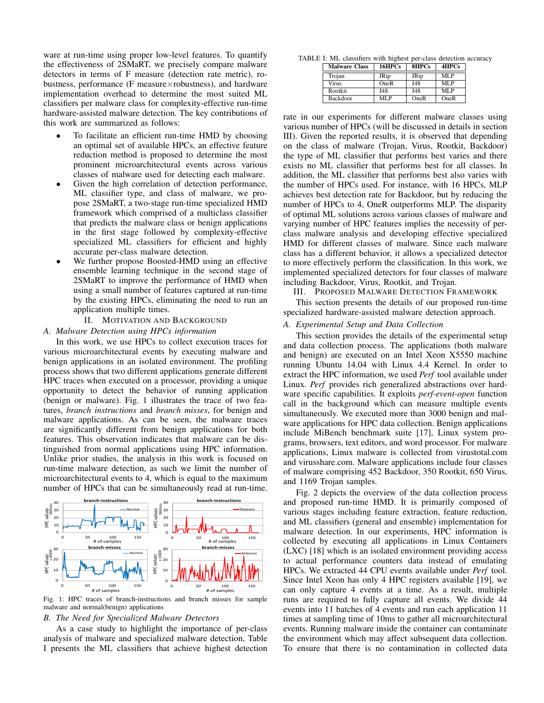ware at run-time using proper low-level features. To quantify the effectiveness of 2SMaRT, we precisely compare malware detectors in terms of F measure (detection rate metric), robustness, performance (F measure×robustness), and hardware implementation overhead to determine the most suited ML classifiers per malware class for complexity-effective run-time hardware-assisted malware detection. The key contributions of this work are summarized as follows:

- To facilitate an efficient run-time HMD by choosing an optimal set of available HPCs, an effective feature reduction method is proposed to determine the most prominent microarchitectural events across various classes of malware used for detecting each malware.
- Given the high correlation of detection performance, ML classifier type, and class of malware, we propose 2SMaRT, a two-stage run-time specialized HMD framework which comprised of a multiclass classifier that predicts the malware class or benign applications in the first stage followed by complexity-effective specialized ML classifiers for efficient and highly accurate per-class malware detection.
- We further propose Boosted-HMD using an effective ensemble learning technique in the second stage of 2SMaRT to improve the performance of HMD when using a small number of features captured at run-time by the existing HPCs, eliminating the need to run an application multiple times.

#### II. MOTIVATION AND BACKGROUND

## *A. Malware Detection using HPCs information*

In this work, we use HPCs to collect execution traces for various microarchitectural events by executing malware and benign applications in an isolated environment. The profiling process shows that two different applications generate different HPC traces when executed on a processor, providing a unique opportunity to detect the behavior of running application (benign or malware). Fig. 1 illustrates the trace of two features, *branch instructions* and *branch misses*, for benign and malware applications. As can be seen, the malware traces are significantly different from benign applications for both features. This observation indicates that malware can be distinguished from normal applications using HPC information. Unlike prior studies, the analysis in this work is focused on run-time malware detection, as such we limit the number of microarchitectural events to 4, which is equal to the maximum number of HPCs that can be simultaneously read at run-time.



Fig. 1: HPC traces of branch-instructions and branch misses for sample malware and normal(benign) applications

#### *B. The Need for Specialized Malware Detectors*

As a case study to highlight the importance of per-class analysis of malware and specialized malware detection, Table I presents the ML classifiers that achieve highest detection

TABLE I: ML classifiers with highest per-class detection accuracy

| <b>Malware Class</b> | 16HPCs      | 8HPCs       | 4HPCs |
|----------------------|-------------|-------------|-------|
| Trojan               | <b>JRip</b> | <b>JRip</b> | MLP   |
| <b>Virus</b>         | OneR        | J48         | MTP   |
| Rootkit              | J48         | J48         | MTP   |
| Backdoor             | MLP         | OneR        | OneR  |

rate in our experiments for different malware classes using various number of HPCs (will be discussed in details in section III). Given the reported results, it is observed that depending on the class of malware (Trojan, Virus, Rootkit, Backdoor) the type of ML classifier that performs best varies and there exists no ML classifier that performs best for all classes. In addition, the ML classifier that performs best also varies with the number of HPCs used. For instance, with 16 HPCs, MLP achieves best detection rate for Backdoor, but by reducing the number of HPCs to 4, OneR outperforms MLP. The disparity of optimal ML solutions across various classes of malware and varying number of HPC features implies the necessity of perclass malware analysis and developing effective specialized HMD for different classes of malware. Since each malware class has a different behavior, it allows a specialized detector to more effectively perform the classification. In this work, we implemented specialized detectors for four classes of malware including Backdoor, Virus, Rootkit, and Trojan.

III. PROPOSED MALWARE DETECTION FRAMEWORK

This section presents the details of our proposed run-time specialized hardware-assisted malware detection approach.

#### *A. Experimental Setup and Data Collection*

This section provides the details of the experimental setup and data collection process. The applications (both malware and benign) are executed on an Intel Xeon X5550 machine running Ubuntu 14.04 with Linux 4.4 Kernel. In order to extract the HPC information, we used *Perf* tool available under Linux. *Perf* provides rich generalized abstractions over hardware specific capabilities. It exploits *perf-event-open* function call in the background which can measure multiple events simultaneously. We executed more than 3000 benign and malware applications for HPC data collection. Benign applications include MiBench benchmark suite [17], Linux system programs, browsers, text editors, and word processor. For malware applications, Linux malware is collected from virustotal.com and virusshare.com. Malware applications include four classes of malware comprising 452 Backdoor, 350 Rootkit, 650 Virus, and 1169 Trojan samples.

Fig. 2 depicts the overview of the data collection process and proposed run-time HMD. It is primarily composed of various stages including feature extraction, feature reduction, and ML classifiers (general and ensemble) implementation for malware detection. In our experiments, HPC information is collected by executing all applications in Linux Containers (LXC) [18] which is an isolated environment providing access to actual performance counters data instead of emulating HPCs. We extracted 44 CPU events available under *Perf* tool. Since Intel Xeon has only 4 HPC registers available [19], we can only capture 4 events at a time. As a result, multiple runs are required to fully capture all events. We divide 44 events into 11 batches of 4 events and run each application 11 times at sampling time of 10ms to gather all microarchitectural events. Running malware inside the container can contaminate the environment which may affect subsequent data collection. To ensure that there is no contamination in collected data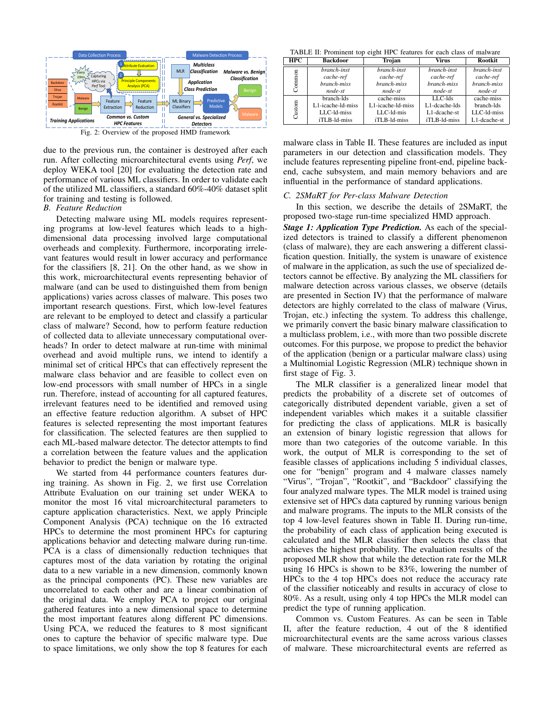

Fig. 2: Overview of the proposed HMD framework

due to the previous run, the container is destroyed after each run. After collecting microarchitectural events using *Perf*, we deploy WEKA tool [20] for evaluating the detection rate and performance of various ML classifiers. In order to validate each of the utilized ML classifiers, a standard 60%-40% dataset split for training and testing is followed.

### *B. Feature Reduction*

Detecting malware using ML models requires representing programs at low-level features which leads to a highdimensional data processing involved large computational overheads and complexity. Furthermore, incorporating irrelevant features would result in lower accuracy and performance for the classifiers [8, 21]. On the other hand, as we show in this work, microarchitectural events representing behavior of malware (and can be used to distinguished them from benign applications) varies across classes of malware. This poses two important research questions. First, which low-level features are relevant to be employed to detect and classify a particular class of malware? Second, how to perform feature reduction of collected data to alleviate unnecessary computational overheads? In order to detect malware at run-time with minimal overhead and avoid multiple runs, we intend to identify a minimal set of critical HPCs that can effectively represent the malware class behavior and are feasible to collect even on low-end processors with small number of HPCs in a single run. Therefore, instead of accounting for all captured features, irrelevant features need to be identified and removed using an effective feature reduction algorithm. A subset of HPC features is selected representing the most important features for classification. The selected features are then supplied to each ML-based malware detector. The detector attempts to find a correlation between the feature values and the application behavior to predict the benign or malware type.

We started from 44 performance counters features during training. As shown in Fig. 2, we first use Correlation Attribute Evaluation on our training set under WEKA to monitor the most 16 vital microarchitectural parameters to capture application characteristics. Next, we apply Principle Component Analysis (PCA) technique on the 16 extracted HPCs to determine the most prominent HPCs for capturing applications behavior and detecting malware during run-time. PCA is a class of dimensionally reduction techniques that captures most of the data variation by rotating the original data to a new variable in a new dimension, commonly known as the principal components (PC). These new variables are uncorrelated to each other and are a linear combination of the original data. We employ PCA to project our original gathered features into a new dimensional space to determine the most important features along different PC dimensions. Using PCA, we reduced the features to 8 most significant ones to capture the behavior of specific malware type. Due to space limitations, we only show the top 8 features for each

TABLE II: Prominent top eight HPC features for each class of malware

| <b>HPC</b> | <b>Backdoor</b>   | Trojan            | Virus         | <b>Rootkit</b> |
|------------|-------------------|-------------------|---------------|----------------|
|            | branch-inst       | branch-inst       | branch-inst   | branch-inst    |
| ommon      | cache-ref         | cache-ref         | cache-ref     | cache-ref      |
|            | branch-miss       | branch-miss       | branch-miss   | branch-miss    |
|            | node-st           | node-st           | node-st       | node-st        |
|            | branch-lds        | cache-miss        | $LLC-1ds$     | cache-miss     |
| stom<br>්  | L1-icache-ld-miss | L1-icache-Id-miss | L1-dcache-lds | branch-lds     |
|            | LLC-ld-miss       | LLC-1d-mis        | L1-dcache-st  | LLC-1d-miss    |
|            | iTLB-ld-miss      | iTLB-ld-miss      | iTLB-ld-miss  | L1-dcache-st   |

malware class in Table II. These features are included as input parameters in our detection and classification models. They include features representing pipeline front-end, pipeline backend, cache subsystem, and main memory behaviors and are influential in the performance of standard applications.

#### *C. 2SMaRT for Per-class Malware Detection*

In this section, we describe the details of 2SMaRT, the proposed two-stage run-time specialized HMD approach.

*Stage 1: Application Type Prediction.* As each of the specialized detectors is trained to classify a different phenomenon (class of malware), they are each answering a different classification question. Initially, the system is unaware of existence of malware in the application, as such the use of specialized detectors cannot be effective. By analyzing the ML classifiers for malware detection across various classes, we observe (details are presented in Section IV) that the performance of malware detectors are highly correlated to the class of malware (Virus, Trojan, etc.) infecting the system. To address this challenge, we primarily convert the basic binary malware classification to a multiclass problem, i.e., with more than two possible discrete outcomes. For this purpose, we propose to predict the behavior of the application (benign or a particular malware class) using a Multinomial Logistic Regression (MLR) technique shown in first stage of Fig. 3.

The MLR classifier is a generalized linear model that predicts the probability of a discrete set of outcomes of categorically distributed dependent variable, given a set of independent variables which makes it a suitable classifier for predicting the class of applications. MLR is basically an extension of binary logistic regression that allows for more than two categories of the outcome variable. In this work, the output of MLR is corresponding to the set of feasible classes of applications including 5 individual classes, one for "benign" program and 4 malware classes namely "Virus", "Trojan", "Rootkit", and "Backdoor" classifying the four analyzed malware types. The MLR model is trained using extensive set of HPCs data captured by running various benign and malware programs. The inputs to the MLR consists of the top 4 low-level features shown in Table II. During run-time, the probability of each class of application being executed is calculated and the MLR classifier then selects the class that achieves the highest probability. The evaluation results of the proposed MLR show that while the detection rate for the MLR using 16 HPCs is shown to be 83%, lowering the number of HPCs to the 4 top HPCs does not reduce the accuracy rate of the classifier noticeably and results in accuracy of close to 80%. As a result, using only 4 top HPCs the MLR model can predict the type of running application.

Common vs. Custom Features. As can be seen in Table II, after the feature reduction, 4 out of the 8 identified microarchitectural events are the same across various classes of malware. These microarchitectural events are referred as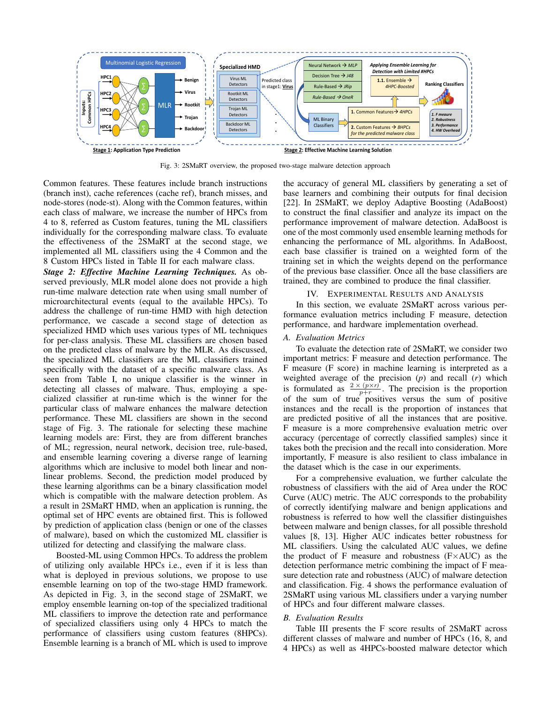

Fig. 3: 2SMaRT overview, the proposed two-stage malware detection approach

Common features. These features include branch instructions (branch inst), cache references (cache ref), branch misses, and node-stores (node-st). Along with the Common features, within each class of malware, we increase the number of HPCs from 4 to 8, referred as Custom features, tuning the ML classifiers individually for the corresponding malware class. To evaluate the effectiveness of the 2SMaRT at the second stage, we implemented all ML classifiers using the 4 Common and the 8 Custom HPCs listed in Table II for each malware class.

*Stage 2: Effective Machine Learning Techniques.* As observed previously, MLR model alone does not provide a high run-time malware detection rate when using small number of microarchitectural events (equal to the available HPCs). To address the challenge of run-time HMD with high detection performance, we cascade a second stage of detection as specialized HMD which uses various types of ML techniques for per-class analysis. These ML classifiers are chosen based on the predicted class of malware by the MLR. As discussed, the specialized ML classifiers are the ML classifiers trained specifically with the dataset of a specific malware class. As seen from Table I, no unique classifier is the winner in detecting all classes of malware. Thus, employing a specialized classifier at run-time which is the winner for the particular class of malware enhances the malware detection performance. These ML classifiers are shown in the second stage of Fig. 3. The rationale for selecting these machine learning models are: First, they are from different branches of ML; regression, neural network, decision tree, rule-based, and ensemble learning covering a diverse range of learning algorithms which are inclusive to model both linear and nonlinear problems. Second, the prediction model produced by these learning algorithms can be a binary classification model which is compatible with the malware detection problem. As a result in 2SMaRT HMD, when an application is running, the optimal set of HPC events are obtained first. This is followed by prediction of application class (benign or one of the classes of malware), based on which the customized ML classifier is utilized for detecting and classifying the malware class.

Boosted-ML using Common HPCs. To address the problem of utilizing only available HPCs i.e., even if it is less than what is deployed in previous solutions, we propose to use ensemble learning on top of the two-stage HMD framework. As depicted in Fig. 3, in the second stage of 2SMaRT, we employ ensemble learning on-top of the specialized traditional ML classifiers to improve the detection rate and performance of specialized classifiers using only 4 HPCs to match the performance of classifiers using custom features (8HPCs). Ensemble learning is a branch of ML which is used to improve the accuracy of general ML classifiers by generating a set of base learners and combining their outputs for final decision [22]. In 2SMaRT, we deploy Adaptive Boosting (AdaBoost) to construct the final classifier and analyze its impact on the performance improvement of malware detection. AdaBoost is one of the most commonly used ensemble learning methods for enhancing the performance of ML algorithms. In AdaBoost, each base classifier is trained on a weighted form of the training set in which the weights depend on the performance of the previous base classifier. Once all the base classifiers are trained, they are combined to produce the final classifier.

## IV. EXPERIMENTAL RESULTS AND ANALYSIS

In this section, we evaluate 2SMaRT across various performance evaluation metrics including F measure, detection performance, and hardware implementation overhead.

## *A. Evaluation Metrics*

To evaluate the detection rate of 2SMaRT, we consider two important metrics: F measure and detection performance. The F measure (F score) in machine learning is interpreted as a weighted average of the precision (*p*) and recall (*r*) which is formulated as  $\frac{2 \times (p \times r)}{p+r}$ . The precision is the proportion of the sum of true positives versus the sum of positive instances and the recall is the proportion of instances that are predicted positive of all the instances that are positive. F measure is a more comprehensive evaluation metric over accuracy (percentage of correctly classified samples) since it takes both the precision and the recall into consideration. More importantly, F measure is also resilient to class imbalance in the dataset which is the case in our experiments.

For a comprehensive evaluation, we further calculate the robustness of classifiers with the aid of Area under the ROC Curve (AUC) metric. The AUC corresponds to the probability of correctly identifying malware and benign applications and robustness is referred to how well the classifier distinguishes between malware and benign classes, for all possible threshold values [8, 13]. Higher AUC indicates better robustness for ML classifiers. Using the calculated AUC values, we define the product of F measure and robustness (F×AUC) as the detection performance metric combining the impact of F measure detection rate and robustness (AUC) of malware detection and classification. Fig. 4 shows the performance evaluation of 2SMaRT using various ML classifiers under a varying number of HPCs and four different malware classes.

#### *B. Evaluation Results*

Table III presents the F score results of 2SMaRT across different classes of malware and number of HPCs (16, 8, and 4 HPCs) as well as 4HPCs-boosted malware detector which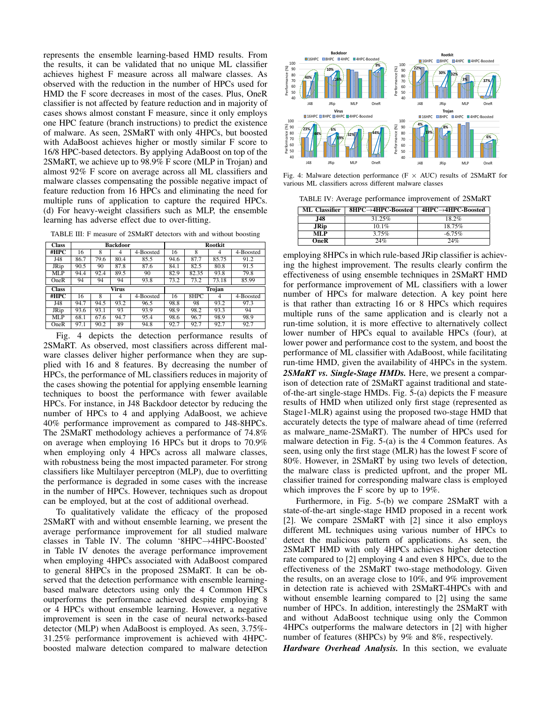represents the ensemble learning-based HMD results. From the results, it can be validated that no unique ML classifier achieves highest F measure across all malware classes. As observed with the reduction in the number of HPCs used for HMD the F score decreases in most of the cases. Plus, OneR classifier is not affected by feature reduction and in majority of cases shows almost constant F measure, since it only employs one HPC feature (branch instructions) to predict the existence of malware. As seen, 2SMaRT with only 4HPCs, but boosted with AdaBoost achieves higher or mostly similar F score to 16/8 HPC-based detectors. By applying AdaBoost on top of the 2SMaRT, we achieve up to 98.9% F score (MLP in Trojan) and almost 92% F score on average across all ML classifiers and malware classes compensating the possible negative impact of feature reduction from 16 HPCs and eliminating the need for multiple runs of application to capture the required HPCs. (d) For heavy-weight classifiers such as MLP, the ensemble learning has adverse effect due to over-fitting.

TABLE III: F measure of 2SMaRT detectors with and without boosting

| <b>Class</b> | <b>Backdoor</b> |      |      |           | <b>Rootkit</b> |       |       |                         |
|--------------|-----------------|------|------|-----------|----------------|-------|-------|-------------------------|
| #HPC         | 16              | 8    | 4    | 4-Boosted | 16             | 8     | 4     | 4-Boosted               |
| J48          | 86.7            | 79.6 | 80.4 | 85.5      | 94.6           | 87.7  | 85.75 | 91.2                    |
| <b>JRip</b>  | 90.5            | 90   | 87.8 | 87.6      | 84.1           | 82.5  | 80.8  | 91.5                    |
| MLP          | 94.4            | 92.4 | 89.5 | 90        | 82.9           | 82.35 | 93.8  | 79.8                    |
| OneR         | 94              | 94   | 94   | 93.8      | 73.2           | 73.2  | 73.18 | 85.99                   |
|              | <b>Virus</b>    |      |      | Trojan    |                |       |       |                         |
| <b>Class</b> |                 |      |      |           |                |       |       |                         |
| #HPC         | 16              | 8    | 4    | 4-Boosted | 16             | 8HPC  | 4     | $\overline{4}$ -Boosted |
| J48          | 94.7            | 94.5 | 93.2 | 96.5      | 98.8           | 98    | 93.2  | 97.3                    |
| <b>JRip</b>  | 93.6            | 93.1 | 93   | 93.9      | 98.9           | 98.2  | 93.3  | 94                      |
| MLP          | 68.1            | 67.6 | 94.7 | 95.4      | 98.6           | 96.7  | 98.9  | 98.9                    |

Fig. 4 depicts the detection performance results of 2SMaRT. As observed, most classifiers across different malware classes deliver higher performance when they are supplied with 16 and 8 features. By decreasing the number of HPCs, the performance of ML classifiers reduces in majority of the cases showing the potential for applying ensemble learning techniques to boost the performance with fewer available HPCs. For instance, in J48 Backdoor detector by reducing the number of HPCs to 4 and applying AdaBoost, we achieve 40% performance improvement as compared to J48-8HPCs. The 2SMaRT methodology achieves a performance of 74.8% on average when employing 16 HPCs but it drops to 70.9% when employing only 4 HPCs across all malware classes, with robustness being the most impacted parameter. For strong classifiers like Multilayer perceptron (MLP), due to overfitting the performance is degraded in some cases with the increase in the number of HPCs. However, techniques such as dropout can be employed, but at the cost of additional overhead.

To qualitatively validate the efficacy of the proposed 2SMaRT with and without ensemble learning, we present the average performance improvement for all studied malware classes in Table IV. The column '8HPC→4HPC-Boosted' in Table IV denotes the average performance improvement when employing 4HPCs associated with AdaBoost compared to general 8HPCs in the proposed 2SMaRT. It can be observed that the detection performance with ensemble learningbased malware detectors using only the 4 Common HPCs outperforms the performance achieved despite employing 8 or 4 HPCs without ensemble learning. However, a negative improvement is seen in the case of neural networks-based detector (MLP) when AdaBoost is employed. As seen, 3.75%- 31.25% performance improvement is achieved with 4HPCboosted malware detection compared to malware detection



Fig. 4: Malware detection performance (F  $\times$  AUC) results of 2SMaRT for various ML classifiers across different malware classes

TABLE IV: Average performance improvement of 2SMaRT

| ML Classifier | $8HPC \rightarrow 4HPC-Boosted$ | $4HPC \rightarrow 4HPC-Boosted$ |
|---------------|---------------------------------|---------------------------------|
| .I48          | $31.25\%$                       | $18.2\%$                        |
| JRip.         | $101\%$                         | 18.75%                          |
| MTP           | 3.75%                           | $-6.75\%$                       |
| OneR          | 24%                             | 24%                             |

employing 8HPCs in which rule-based JRip classifier is achieving the highest improvement. The results clearly confirm the effectiveness of using ensemble techniques in 2SMaRT HMD for performance improvement of ML classifiers with a lower number of HPCs for malware detection. A key point here is that rather than extracting 16 or 8 HPCs which requires multiple runs of the same application and is clearly not a run-time solution, it is more effective to alternatively collect lower number of HPCs equal to available HPCs (four), at lower power and performance cost to the system, and boost the performance of ML classifier with AdaBoost, while facilitating run-time HMD, given the availability of 4HPCs in the system. *2SMaRT vs. Single-Stage HMDs.* Here, we present a comparison of detection rate of 2SMaRT against traditional and stateof-the-art single-stage HMDs. Fig. 5-(a) depicts the F measure results of HMD when utilized only first stage (represented as Stage1-MLR) against using the proposed two-stage HMD that accurately detects the type of malware ahead of time (referred as malware\_name-2SMaRT). The number of HPCs used for malware detection in Fig. 5-(a) is the 4 Common features. As seen, using only the first stage (MLR) has the lowest F score of 80%. However, in 2SMaRT by using two levels of detection, the malware class is predicted upfront, and the proper ML classifier trained for corresponding malware class is employed which improves the F score by up to 19%.

Furthermore, in Fig. 5-(b) we compare 2SMaRT with a state-of-the-art single-stage HMD proposed in a recent work [2]. We compare 2SMaRT with [2] since it also employs different ML techniques using various number of HPCs to detect the malicious pattern of applications. As seen, the 2SMaRT HMD with only 4HPCs achieves higher detection rate compared to [2] employing 4 and even 8 HPCs, due to the effectiveness of the 2SMaRT two-stage methodology. Given the results, on an average close to 10%, and 9% improvement in detection rate is achieved with 2SMaRT-4HPCs with and without ensemble learning compared to [2] using the same number of HPCs. In addition, interestingly the 2SMaRT with and without AdaBoost technique using only the Common 4HPCs outperforms the malware detectors in [2] with higher number of features (8HPCs) by 9% and 8%, respectively.

*Hardware Overhead Analysis.* In this section, we evaluate